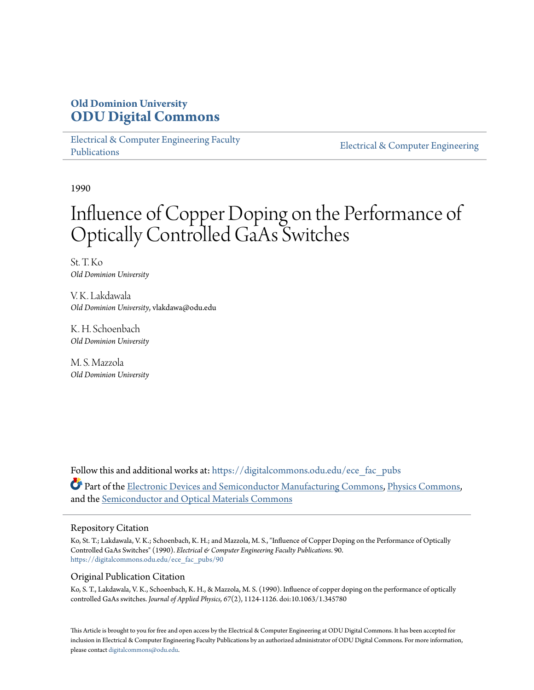# **Old Dominion University [ODU Digital Commons](https://digitalcommons.odu.edu?utm_source=digitalcommons.odu.edu%2Fece_fac_pubs%2F90&utm_medium=PDF&utm_campaign=PDFCoverPages)**

[Electrical & Computer Engineering Faculty](https://digitalcommons.odu.edu/ece_fac_pubs?utm_source=digitalcommons.odu.edu%2Fece_fac_pubs%2F90&utm_medium=PDF&utm_campaign=PDFCoverPages) [Publications](https://digitalcommons.odu.edu/ece_fac_pubs?utm_source=digitalcommons.odu.edu%2Fece_fac_pubs%2F90&utm_medium=PDF&utm_campaign=PDFCoverPages)

[Electrical & Computer Engineering](https://digitalcommons.odu.edu/ece?utm_source=digitalcommons.odu.edu%2Fece_fac_pubs%2F90&utm_medium=PDF&utm_campaign=PDFCoverPages)

1990

# Influence of Copper Doping on the Performance of Optically Controlled GaAs Switches

St. T. Ko *Old Dominion University*

V. K. Lakdawala *Old Dominion University*, vlakdawa@odu.edu

K. H. Schoenbach *Old Dominion University*

M. S. Mazzola *Old Dominion University*

Follow this and additional works at: [https://digitalcommons.odu.edu/ece\\_fac\\_pubs](https://digitalcommons.odu.edu/ece_fac_pubs?utm_source=digitalcommons.odu.edu%2Fece_fac_pubs%2F90&utm_medium=PDF&utm_campaign=PDFCoverPages) Part of the [Electronic Devices and Semiconductor Manufacturing Commons](http://network.bepress.com/hgg/discipline/272?utm_source=digitalcommons.odu.edu%2Fece_fac_pubs%2F90&utm_medium=PDF&utm_campaign=PDFCoverPages), [Physics Commons,](http://network.bepress.com/hgg/discipline/193?utm_source=digitalcommons.odu.edu%2Fece_fac_pubs%2F90&utm_medium=PDF&utm_campaign=PDFCoverPages) and the [Semiconductor and Optical Materials Commons](http://network.bepress.com/hgg/discipline/290?utm_source=digitalcommons.odu.edu%2Fece_fac_pubs%2F90&utm_medium=PDF&utm_campaign=PDFCoverPages)

#### Repository Citation

Ko, St. T.; Lakdawala, V. K.; Schoenbach, K. H.; and Mazzola, M. S., "Influence of Copper Doping on the Performance of Optically Controlled GaAs Switches" (1990). *Electrical & Computer Engineering Faculty Publications*. 90. [https://digitalcommons.odu.edu/ece\\_fac\\_pubs/90](https://digitalcommons.odu.edu/ece_fac_pubs/90?utm_source=digitalcommons.odu.edu%2Fece_fac_pubs%2F90&utm_medium=PDF&utm_campaign=PDFCoverPages)

#### Original Publication Citation

Ko, S. T., Lakdawala, V. K., Schoenbach, K. H., & Mazzola, M. S. (1990). Influence of copper doping on the performance of optically controlled GaAs switches. *Journal of Applied Physics, 67*(2), 1124-1126. doi:10.1063/1.345780

This Article is brought to you for free and open access by the Electrical & Computer Engineering at ODU Digital Commons. It has been accepted for inclusion in Electrical & Computer Engineering Faculty Publications by an authorized administrator of ODU Digital Commons. For more information, please contact [digitalcommons@odu.edu](mailto:digitalcommons@odu.edu).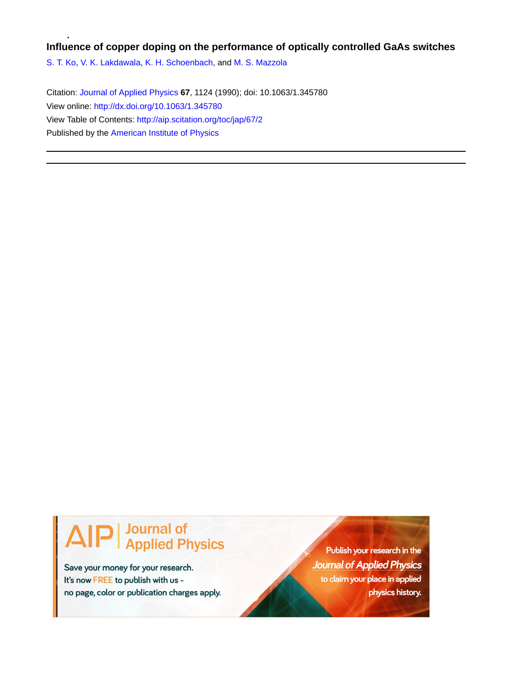#### **Influence of copper doping on the performance of optically controlled GaAs switches**

[S. T. Ko](http://aip.scitation.org/author/Ko%2C+S+T), [V. K. Lakdawala](http://aip.scitation.org/author/Lakdawala%2C+V+K), [K. H. Schoenbach](http://aip.scitation.org/author/Schoenbach%2C+K+H), and [M. S. Mazzola](http://aip.scitation.org/author/Mazzola%2C+M+S)

Citation: [Journal of Applied Physics](/loi/jap) **67**, 1124 (1990); doi: 10.1063/1.345780 View online: <http://dx.doi.org/10.1063/1.345780> View Table of Contents: <http://aip.scitation.org/toc/jap/67/2> Published by the [American Institute of Physics](http://aip.scitation.org/publisher/)

# **Journal of<br>Applied Physics**

Save your money for your research. It's now FREE to publish with us no page, color or publication charges apply.

Publish your research in the **Journal of Applied Physics** to claim your place in applied physics history.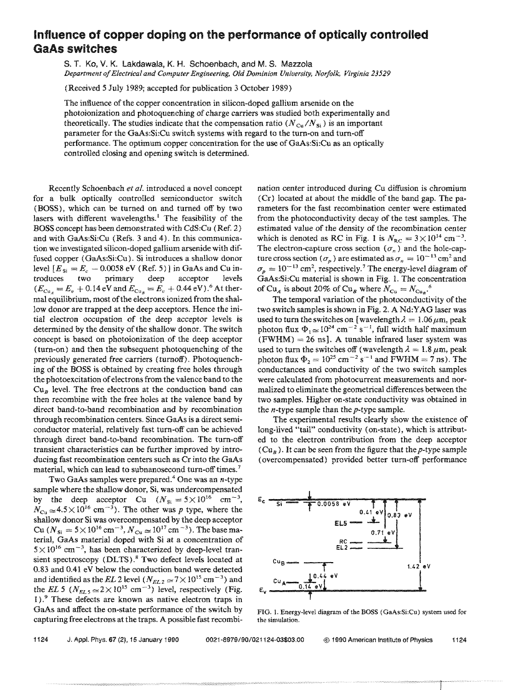## **Influence of copper doping on the performance of optically controlled GaAs switches**

s. T. Ko, v. K. Lakdawala, K. H. Schoenbach, and M. S. Mazzola *Department of Electrical and Computer Engineering. Old Dominion Uniuersity, Norfolk. Virginia 23529* 

(Received 5 July 1989; accepted for publication 3 October 1989)

The influence of the copper concentration in silicon-doped gallium arsenide on the photoionization and photoquenching of charge carriers was studied both experimentally and theoretically. The studies indicate that the compensation ratio  $(N_{\text{Cu}}/N_{\text{Si}})$  is an important parameter for the GaAs:Si:Cu switch systems with regard to the turn-on and turn-off performance. The optimum copper concentration for the use of GaAs:Si:Cu as an optically controlled closing and opening switch is determined.

Recently Sehoenbach *et al.* introduced a novel concept for a bulk optically controlled semiconductor switch (BOSS), which can be turned on and turned off by two lasers with different wavelengths.<sup> $1$ </sup> The feasibility of the BOSS concept has been demonstrated with CdS:Cu (Ref. 2) and with GaAs:Si:Cu (Refs. 3 and 4). In this communication we investigated silicon-doped gallium arsenide with diffused copper (GaAs:Si:Cu). Si introduces a shallow donor level  $[E_{\rm{si}} = E_c - 0.0058 \text{ eV}$  (Ref. 5)] in GaAs and Cu introduces two primary deep acceptor levels  $(E_{Cu_4} = E_v + 0.14 \text{ eV}$  and  $E_{Cu_8} = E_v + 0.44 \text{ eV}$ .<sup>6</sup> At the *r*mal equilibrium, most of the electrons ionized from the shallow donor are trapped at the deep acceptors. Hence the initial electron occupation of the deep acceptor levels is determined by the density of the shallow donor. The switch concept is based on photoionization of the deep acceptor (tum-on) and then the subsequent photoquenching of the previously generated free carriers (turnoff). Photoquenching of the BOSS is obtained by creating free holes through the photoexcitation of electrons from the valence band to the  $Cu<sub>B</sub>$  level. The free electrons at the conduction band can then recombine with the free holes at the valence band by direct band-to-band recombination and by recombination through recombination centers. Since GaAs is a direct semiconductor material, relatively fast turn-off can be achieved through direct band-to-band recombination. The turn-off transient characteristics can be further improved by introducing fast recombination centers such as Cr into the GaAs material, which can lead to subnanosecond turn-off times.<sup>7</sup>

Two GaAs samples were prepared. $4$  One was an *n*-type sample where the shallow donor, Si, was undercompensated by the deep acceptor Cu  $(N_{\rm Si} = 5 \times 10^{16} \text{ cm}^{-3})$ ,  $N_{\text{Cu}} \approx 4.5 \times 10^{16} \text{ cm}^{-3}$ . The other was *p* type, where the shallow donor Si was overcompensated by the deep acceptor Cu ( $N_{\rm Si} = 5 \times 10^{16} \rm \, cm^{-3},$   $N_{\rm Cu} \simeq 10^{17} \rm \, cm^{-3}$ ). The base material, GaAs material doped with Si at a concentration of  $5 \times 10^{16}$  cm<sup>-3</sup>, has been characterized by deep-level transient spectroscopy (DLTS).<sup>8</sup> Two defect levels located at 0.83 and 0.41 eV below the conduction band were detected and identified as the *EL* 2 level  $(N_{EL2} \approx 7 \times 10^{15} \text{ cm}^{-3})$  and the *EL* 5 ( $N_{EL5} \approx 2 \times 10^{15}$  cm<sup>-3</sup>) level, respectively (Fig. 1 ). 9 These defects are known as native electron traps in GaAs and affect the on-state performance of the switch by capturing free electrons at the traps. A possible fast recombination center introduced during Cu diffusion is chromium (Cr) located at about the middle of the band gap. The parameters for the fast recombination center were estimated from the photoconductivity decay of the test samples. The estimated value of the density of the recombination center which is denoted as RC in Fig. 1 is  $N_{\text{RC}} = 3 \times 10^{14} \text{ cm}^{-3}$ . The electron-capture cross section  $(\sigma_n)$  and the hole-capture cross section ( $\sigma_p$ ) are estimated as  $\sigma_n = 10^{-13}$  cm<sup>2</sup> and  $\sigma_p = 10^{-13}$  cm<sup>2</sup>, respectively.<sup>7</sup> The energy-level diagram of GaAs:Si:Cu material is shown in Fig. 1. The concentration of Cu<sub>A</sub> is about 20% of Cu<sub>B</sub> where  $N_{\text{Cu}} = N_{\text{Cu}}$ .<sup>6</sup>

The temporal variation of the photoconductivity of the two switch samples is shown in Fig. 2, A Nd: YAG laser was used to turn the switches on [wavelength  $\lambda = 1.06 \,\mu \text{m}$ , peak photon flux  $\Phi_1 \approx 10^{24}$  cm<sup>-2</sup> s<sup>-1</sup>, full width half maximum  $(FWHM) = 26$  ns]. A tunable infrared laser system was used to turn the switches off (wavelength  $\lambda = 1.8 \mu m$ , peak photon flux  $\Phi_2 = 10^{25}$  cm<sup>-2</sup> s<sup>-1</sup> and FWHM = 7 ns). The conductances and conductivity of the two switch samples were calculated from photocurrent measurements and normalized to eliminate the geometrical differences between the two samples. Higher on-state conductivity was obtained in the n-type sample than the p-type sample.

The experimental results clearly show the existence of long-lived "tail" conductivity (on-state), which is attributed to the electron contribution from the deep acceptor (Cu<sub>B</sub>). It can be seen from the figure that the p-type sample (overcompensated) provided better turn-off performance



FIG. L Energy-level diagram of the BOSS (GaAs:Si:Cu) system used for the simulation.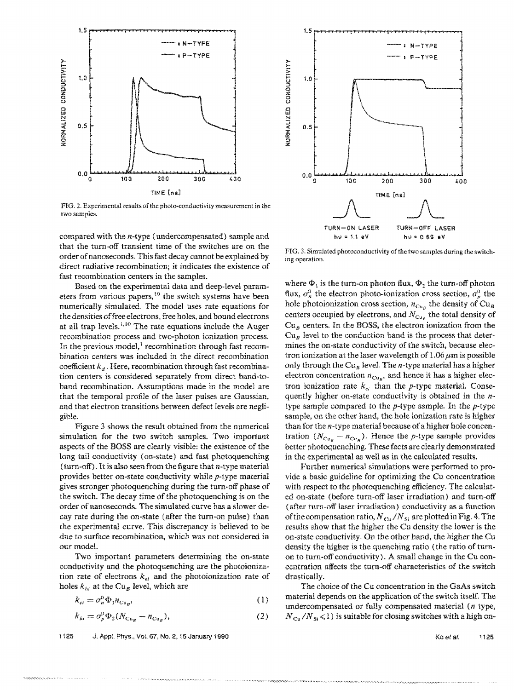

FIG. 2. Experimental results of the photo-conductivity measurement in the two samples.

compared with the n-type (undercompensated) sample and that the turn-off transient time of the switches are on the order of nanoseconds. This fast decay cannot be explained by direct radiative recombination; it indicates the existence of fast recombination centers in the samples.

Based on the experimental data and deep-level parameters from various papers,<sup>10</sup> the switch systems have been numericaHy simulated. The model uses rate equations for the densities offree electrons, free holes, and bound electrons at all trap levels.<sup>1,10</sup> The rate equations include the Auger recombination process and two-photon ionization process. In the previous model,<sup>1</sup> recombination through fast recombination centers was included in the direct recombination coefficient  $k_d$ . Here, recombination through fast recombination centers is considered separately from direct band-toband recombination. Assumptions made in the model are that the temporal profile of the laser pulses are Gaussian, and that electron transitions between defect levels are negligible.

Figure 3 shows the result obtained from the numerical simulation for the two switch samples. Two important aspects of the BOSS are clearly visible: the existence of the long tail conductivity (on-state) and fast photoquenching (turn-off). It is also seen from the figure that  $n$ -type material provides better on-state conductivity while p-type material gives stronger photoquenching during the turn-off phase of the switch. The decay time of the photoquenching is on the order of nanoseconds. The simulated curve has a slower decay rate during the on-state (after the turn-on pulse) than the experimental curve. This discrepancy is believed to be due to surface recombination, which was not considered in our model.

Two important parameters determining the on-state conductivity and the photoquenching are the photoionization rate of electrons  $k_{ei}$  and the photoionization rate of holes  $k_{hi}$  at the Cu<sub>B</sub> level, which are

$$
k_{ei} = \sigma_n^0 \Phi_1 n_{Cu_B},\tag{1}
$$

$$
k_{hi} = \sigma_p^0 \Phi_2 (N_{\text{Cu}_B} - n_{\text{Cu}_B}), \tag{2}
$$

1125 J. AppL Phys., Vol. 67, No.2, 15 January 1990



FIG. 3. Simulated photoconductivity of the two samples during the switching operation.

where  $\Phi_1$  is the turn-on photon flux,  $\Phi_2$  the turn-off photon flux,  $\sigma_n^0$  the electron photo-ionization cross section,  $\sigma_n^0$  the hole photoionization cross section,  $n_{Cu_B}$  the density of  $Cu_B$ centers occupied by electrons, and  $N_{Cu_B}$  the total density of  $Cu<sub>B</sub>$  centers. In the BOSS, the electron ionization from the  $Cu<sub>B</sub>$  level to the conduction band is the process that determines the on-state conductivity of the switch, because electron ionization at the laser wavelength of  $1.06 \mu m$  is possible only through the Cu<sub>B</sub> level. The *n*-type material has a higher electron concentration  $n_{Cu_p}$ , and hence it has a higher electron ionization rate  $k_{el}$  than the p-type material. Consequently higher on-state conductivity is obtained in the ntype sample compared to the  $p$ -type sample. In the  $p$ -type sample, on the other hand, the hole ionization rate is higher than for the n-type material because of a higher hole concentration  $(N_{Cu_B} - n_{Cu_B})$ . Hence the *p*-type sample provides better photoquenching. These facts are clearly demonstrated in the experimental as well as in the calculated results.

Further numerical simulations were performed to provide a basic guideline for optimizing the Cu concentration with respect to the photoquenching efficiency. The calculated on-state (before tum-off laser irradiation) and turn-off (after turn-off laser irradiation) conductivity as a function of the compensation ratio,  $N_{\text{Cu}}/N_{\text{Si}}$  are plotted in Fig. 4. The results show that the higher the Cu density the lower is the on-state conductivity. On the other hand, the higher the Cu density the higher is the quenching ratio (the ratio of turnon to turn-off conductivity). A small change in the  $Cu$  concentration affects the turn-off characteristics of the switch drastically.

The choice of the Cu concentration in the GaAs switch material depends on the application of the switch itself. The undercompensated or fully compensated material  $(n$  type,  $N_{\rm Cu}/N_{\rm Si}$  < 1) is suitable for closing switches with a high on-